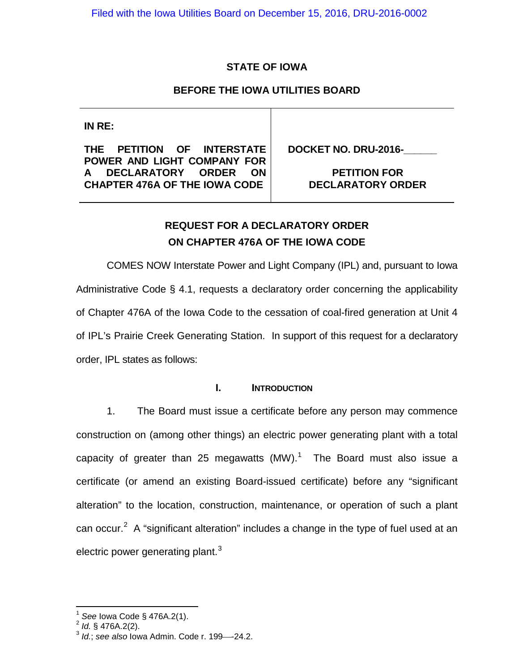# **STATE OF IOWA**

# **BEFORE THE IOWA UTILITIES BOARD**

**IN RE:**

**THE PETITION OF INTERSTATE POWER AND LIGHT COMPANY FOR A DECLARATORY ORDER ON CHAPTER 476A OF THE IOWA CODE**

**DOCKET NO. DRU-2016-\_\_\_\_\_\_**

**PETITION FOR DECLARATORY ORDER**

# **REQUEST FOR A DECLARATORY ORDER ON CHAPTER 476A OF THE IOWA CODE**

COMES NOW Interstate Power and Light Company (IPL) and, pursuant to Iowa Administrative Code § 4.1, requests a declaratory order concerning the applicability of Chapter 476A of the Iowa Code to the cessation of coal-fired generation at Unit 4 of IPL's Prairie Creek Generating Station. In support of this request for a declaratory order, IPL states as follows:

## **I. INTRODUCTION**

1. The Board must issue a certificate before any person may commence construction on (among other things) an electric power generating plant with a total capacity of greater than 25 megawatts  $(MW)$ .<sup>[1](#page-0-0)</sup> The Board must also issue a certificate (or amend an existing Board-issued certificate) before any "significant alteration" to the location, construction, maintenance, or operation of such a plant can occur.<sup>[2](#page-0-1)</sup> A "significant alteration" includes a change in the type of fuel used at an electric power generating plant. $3$ 

<span id="page-0-0"></span><sup>1</sup> *See* Iowa Code § 476A.2(1). <sup>2</sup> *Id.* § 476A.2(2).

<span id="page-0-2"></span><span id="page-0-1"></span><sup>3</sup> *Id.*; *see also* Iowa Admin. Code r. 199-24.2.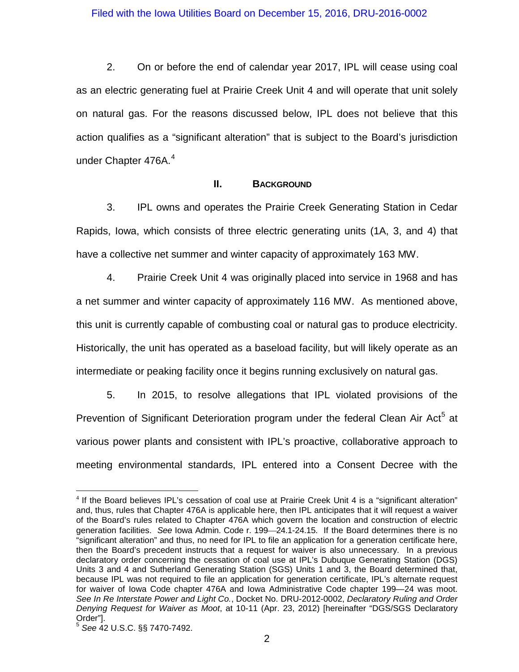2. On or before the end of calendar year 2017, IPL will cease using coal as an electric generating fuel at Prairie Creek Unit 4 and will operate that unit solely on natural gas. For the reasons discussed below, IPL does not believe that this action qualifies as a "significant alteration" that is subject to the Board's jurisdiction under Chapter 476A. [4](#page-1-0)

## **II. BACKGROUND**

3. IPL owns and operates the Prairie Creek Generating Station in Cedar Rapids, Iowa, which consists of three electric generating units (1A, 3, and 4) that have a collective net summer and winter capacity of approximately 163 MW.

4. Prairie Creek Unit 4 was originally placed into service in 1968 and has a net summer and winter capacity of approximately 116 MW. As mentioned above, this unit is currently capable of combusting coal or natural gas to produce electricity. Historically, the unit has operated as a baseload facility, but will likely operate as an intermediate or peaking facility once it begins running exclusively on natural gas.

5. In 2015, to resolve allegations that IPL violated provisions of the Prevention of Significant Deterioration program under the federal Clean Air Act<sup>[5](#page-1-1)</sup> at various power plants and consistent with IPL's proactive, collaborative approach to meeting environmental standards, IPL entered into a Consent Decree with the

<span id="page-1-0"></span><sup>&</sup>lt;sup>4</sup> If the Board believes IPL's cessation of coal use at Prairie Creek Unit 4 is a "significant alteration" and, thus, rules that Chapter 476A is applicable here, then IPL anticipates that it will request a waiver of the Board's rules related to Chapter 476A which govern the location and construction of electric generation facilities. See lowa Admin. Code r. 199-24.1-24.15. If the Board determines there is no "significant alteration" and thus, no need for IPL to file an application for a generation certificate here, then the Board's precedent instructs that a request for waiver is also unnecessary. In a previous declaratory order concerning the cessation of coal use at IPL's Dubuque Generating Station (DGS) Units 3 and 4 and Sutherland Generating Station (SGS) Units 1 and 3, the Board determined that, because IPL was not required to file an application for generation certificate, IPL's alternate request for waiver of Iowa Code chapter 476A and Iowa Administrative Code chapter 199—24 was moot. *See In Re Interstate Power and Light Co.*, Docket No. DRU-2012-0002, *Declaratory Ruling and Order Denying Request for Waiver as Moot*, at 10-11 (Apr. 23, 2012) [hereinafter "DGS/SGS Declaratory Order"].

<span id="page-1-1"></span><sup>5</sup> *See* 42 U.S.C. §§ 7470-7492.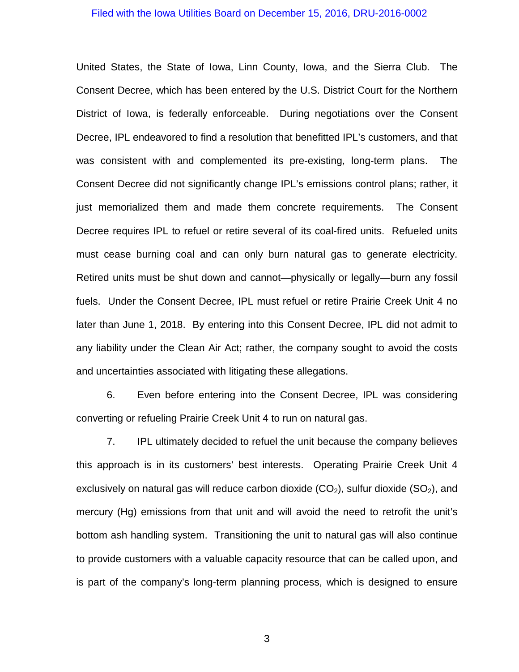United States, the State of Iowa, Linn County, Iowa, and the Sierra Club. The Consent Decree, which has been entered by the U.S. District Court for the Northern District of Iowa, is federally enforceable. During negotiations over the Consent Decree, IPL endeavored to find a resolution that benefitted IPL's customers, and that was consistent with and complemented its pre-existing, long-term plans. The Consent Decree did not significantly change IPL's emissions control plans; rather, it just memorialized them and made them concrete requirements. The Consent Decree requires IPL to refuel or retire several of its coal-fired units. Refueled units must cease burning coal and can only burn natural gas to generate electricity. Retired units must be shut down and cannot—physically or legally—burn any fossil fuels. Under the Consent Decree, IPL must refuel or retire Prairie Creek Unit 4 no later than June 1, 2018. By entering into this Consent Decree, IPL did not admit to any liability under the Clean Air Act; rather, the company sought to avoid the costs and uncertainties associated with litigating these allegations.

6. Even before entering into the Consent Decree, IPL was considering converting or refueling Prairie Creek Unit 4 to run on natural gas.

7. IPL ultimately decided to refuel the unit because the company believes this approach is in its customers' best interests. Operating Prairie Creek Unit 4 exclusively on natural gas will reduce carbon dioxide  $(CO_2)$ , sulfur dioxide  $(SO_2)$ , and mercury (Hg) emissions from that unit and will avoid the need to retrofit the unit's bottom ash handling system. Transitioning the unit to natural gas will also continue to provide customers with a valuable capacity resource that can be called upon, and is part of the company's long-term planning process, which is designed to ensure

3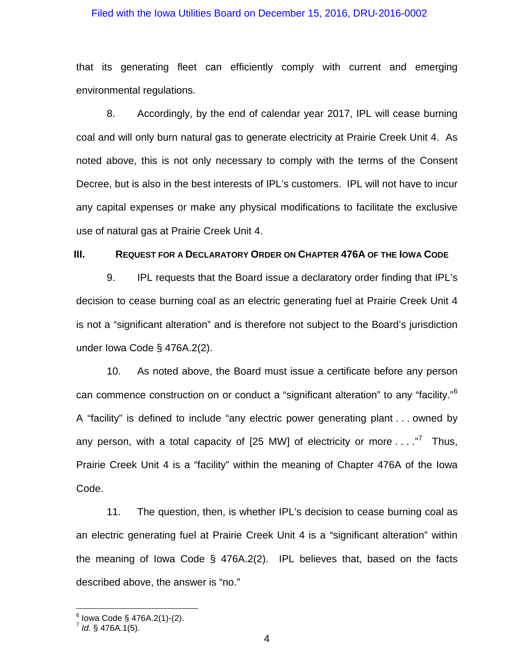that its generating fleet can efficiently comply with current and emerging environmental regulations.

8. Accordingly, by the end of calendar year 2017, IPL will cease burning coal and will only burn natural gas to generate electricity at Prairie Creek Unit 4. As noted above, this is not only necessary to comply with the terms of the Consent Decree, but is also in the best interests of IPL's customers. IPL will not have to incur any capital expenses or make any physical modifications to facilitate the exclusive use of natural gas at Prairie Creek Unit 4.

### **III. REQUEST FOR A DECLARATORY ORDER ON CHAPTER 476A OF THE IOWA CODE**

9. IPL requests that the Board issue a declaratory order finding that IPL's decision to cease burning coal as an electric generating fuel at Prairie Creek Unit 4 is not a "significant alteration" and is therefore not subject to the Board's jurisdiction under Iowa Code § 476A.2(2).

10. As noted above, the Board must issue a certificate before any person can commence construction on or conduct a "significant alteration" to any "facility."<sup>[6](#page-3-0)</sup> A "facility" is defined to include "any electric power generating plant . . . owned by any person, with a total capacity of  $[25 \text{ MW}]$  of electricity or more  $\ldots$ ." Thus, Prairie Creek Unit 4 is a "facility" within the meaning of Chapter 476A of the Iowa Code.

11. The question, then, is whether IPL's decision to cease burning coal as an electric generating fuel at Prairie Creek Unit 4 is a "significant alteration" within the meaning of Iowa Code § 476A.2(2). IPL believes that, based on the facts described above, the answer is "no."

<span id="page-3-1"></span><span id="page-3-0"></span> $^6$  Iowa Code § 476A.2(1)-(2).<br><sup>7</sup> *Id.* § 476A.1(5).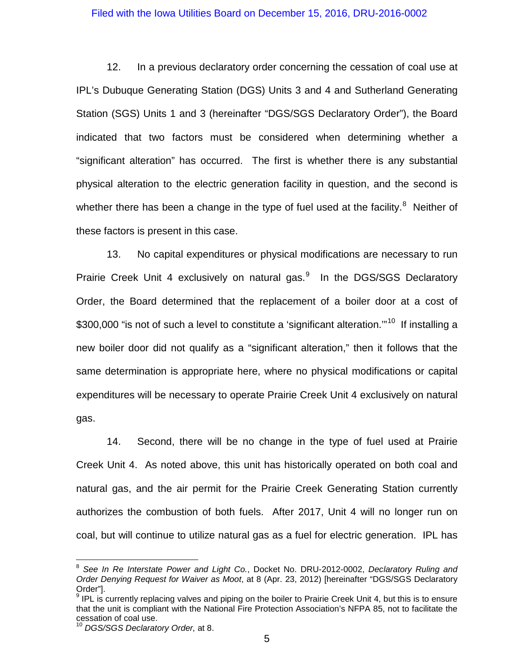12. In a previous declaratory order concerning the cessation of coal use at IPL's Dubuque Generating Station (DGS) Units 3 and 4 and Sutherland Generating Station (SGS) Units 1 and 3 (hereinafter "DGS/SGS Declaratory Order"), the Board indicated that two factors must be considered when determining whether a "significant alteration" has occurred. The first is whether there is any substantial physical alteration to the electric generation facility in question, and the second is whether there has been a change in the type of fuel used at the facility.<sup>[8](#page-4-0)</sup> Neither of these factors is present in this case.

13. No capital expenditures or physical modifications are necessary to run Prairie Creek Unit 4 exclusively on natural gas.<sup>[9](#page-4-1)</sup> In the DGS/SGS Declaratory Order, the Board determined that the replacement of a boiler door at a cost of \$300,000 "is not of such a level to constitute a 'significant alteration."<sup>[10](#page-4-2)</sup> If installing a new boiler door did not qualify as a "significant alteration," then it follows that the same determination is appropriate here, where no physical modifications or capital expenditures will be necessary to operate Prairie Creek Unit 4 exclusively on natural gas.

14. Second, there will be no change in the type of fuel used at Prairie Creek Unit 4. As noted above, this unit has historically operated on both coal and natural gas, and the air permit for the Prairie Creek Generating Station currently authorizes the combustion of both fuels. After 2017, Unit 4 will no longer run on coal, but will continue to utilize natural gas as a fuel for electric generation. IPL has

<span id="page-4-0"></span><sup>8</sup> *See In Re Interstate Power and Light Co.*, Docket No. DRU-2012-0002, *Declaratory Ruling and Order Denying Request for Waiver as Moot*, at 8 (Apr. 23, 2012) [hereinafter "DGS/SGS Declaratory Order"].

<span id="page-4-1"></span> $9$  IPL is currently replacing valves and piping on the boiler to Prairie Creek Unit 4, but this is to ensure that the unit is compliant with the National Fire Protection Association's NFPA 85, not to facilitate the cessation of coal use.

<span id="page-4-2"></span><sup>10</sup> *DGS/SGS Declaratory Order,* at 8.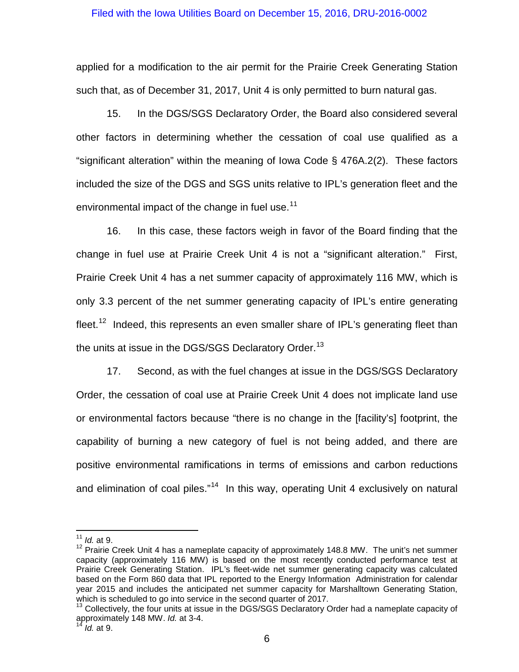applied for a modification to the air permit for the Prairie Creek Generating Station such that, as of December 31, 2017, Unit 4 is only permitted to burn natural gas.

15. In the DGS/SGS Declaratory Order, the Board also considered several other factors in determining whether the cessation of coal use qualified as a "significant alteration" within the meaning of Iowa Code § 476A.2(2). These factors included the size of the DGS and SGS units relative to IPL's generation fleet and the environmental impact of the change in fuel use.<sup>11</sup>

16. In this case, these factors weigh in favor of the Board finding that the change in fuel use at Prairie Creek Unit 4 is not a "significant alteration." First, Prairie Creek Unit 4 has a net summer capacity of approximately 116 MW, which is only 3.3 percent of the net summer generating capacity of IPL's entire generating fleet.<sup>[12](#page-5-1)</sup> Indeed, this represents an even smaller share of IPL's generating fleet than the units at issue in the DGS/SGS Declaratory Order.<sup>[13](#page-5-2)</sup>

17. Second, as with the fuel changes at issue in the DGS/SGS Declaratory Order, the cessation of coal use at Prairie Creek Unit 4 does not implicate land use or environmental factors because "there is no change in the [facility's] footprint, the capability of burning a new category of fuel is not being added, and there are positive environmental ramifications in terms of emissions and carbon reductions and elimination of coal piles."<sup>14</sup> In this way, operating Unit 4 exclusively on natural

<span id="page-5-0"></span><sup>11</sup> *Id.* at 9.

<span id="page-5-1"></span> $12$  Prairie Creek Unit 4 has a nameplate capacity of approximately 148.8 MW. The unit's net summer capacity (approximately 116 MW) is based on the most recently conducted performance test at Prairie Creek Generating Station. IPL's fleet-wide net summer generating capacity was calculated based on the Form 860 data that IPL reported to the Energy Information Administration for calendar year 2015 and includes the anticipated net summer capacity for Marshalltown Generating Station,<br>which is scheduled to go into service in the second quarter of 2017.

<span id="page-5-3"></span><span id="page-5-2"></span> $13$  Collectively, the four units at issue in the DGS/SGS Declaratory Order had a nameplate capacity of approximately 148 MW. *Id.* at 3-4.

<sup>14</sup> *Id.* at 9.